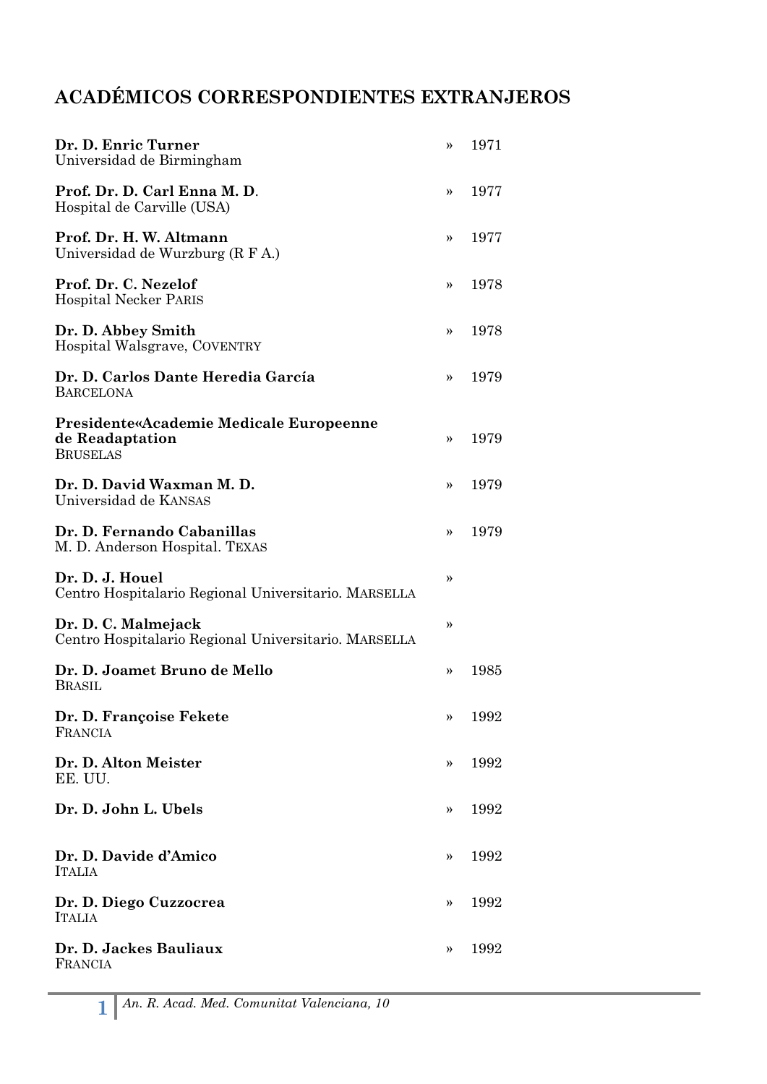## **ACADÉMICOS CORRESPONDIENTES EXTRANJEROS**

| Dr. D. Enric Turner<br>Universidad de Birmingham                                     | >>            | 1971 |
|--------------------------------------------------------------------------------------|---------------|------|
| Prof. Dr. D. Carl Enna M. D.<br>Hospital de Carville (USA)                           | >>            | 1977 |
| Prof. Dr. H. W. Altmann<br>Universidad de Wurzburg (R F A.)                          | »             | 1977 |
| Prof. Dr. C. Nezelof<br><b>Hospital Necker PARIS</b>                                 | >>            | 1978 |
| Dr. D. Abbey Smith<br>Hospital Walsgrave, COVENTRY                                   | >>            | 1978 |
| Dr. D. Carlos Dante Heredia García<br><b>BARCELONA</b>                               | >>            | 1979 |
| <b>Presidente«Academie Medicale Europeenne</b><br>de Readaptation<br><b>BRUSELAS</b> | $\rightarrow$ | 1979 |
| Dr. D. David Waxman M. D.<br>Universidad de KANSAS                                   | >>            | 1979 |
| Dr. D. Fernando Cabanillas<br>M. D. Anderson Hospital. TEXAS                         | »             | 1979 |
| Dr. D. J. Houel<br>Centro Hospitalario Regional Universitario. MARSELLA              | »             |      |
| Dr. D. C. Malmejack<br>Centro Hospitalario Regional Universitario. MARSELLA          | »             |      |
| Dr. D. Joamet Bruno de Mello<br><b>BRASIL</b>                                        | »             | 1985 |
| Dr. D. Françoise Fekete<br>FRANCIA                                                   | »             | 1992 |
| Dr. D. Alton Meister<br>EE. UU.                                                      | >>            | 1992 |
| Dr. D. John L. Ubels                                                                 | >>            | 1992 |
| Dr. D. Davide d'Amico<br><b>ITALIA</b>                                               | >>            | 1992 |
| Dr. D. Diego Cuzzocrea<br><b>ITALIA</b>                                              | >>            | 1992 |
| Dr. D. Jackes Bauliaux<br>FRANCIA                                                    | >>            | 1992 |